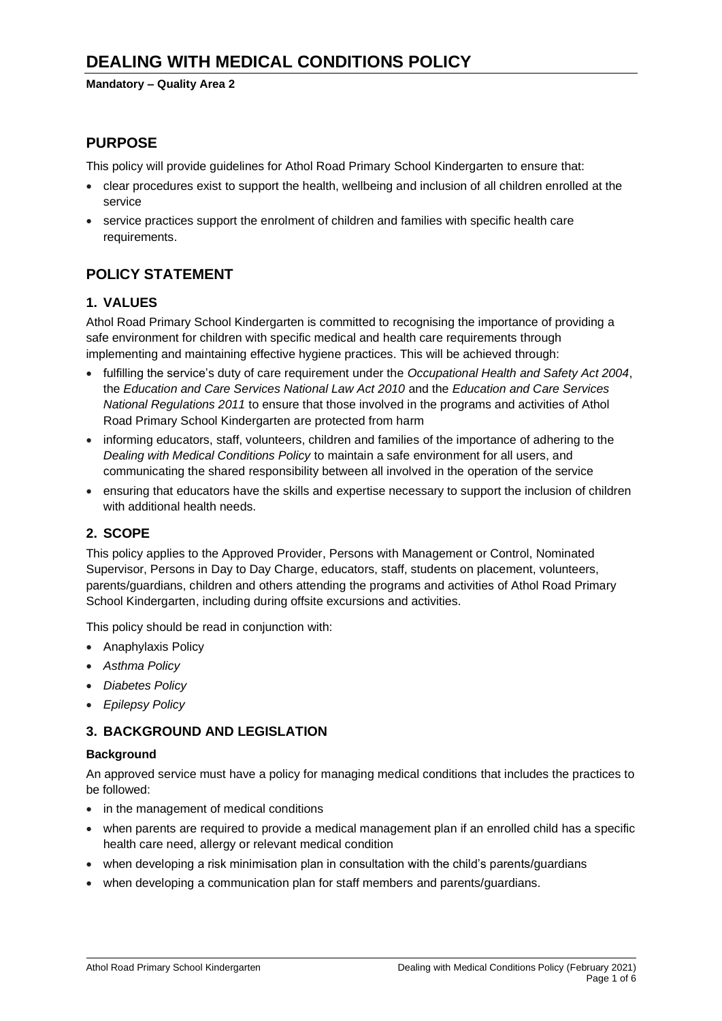#### **Mandatory – Quality Area 2**

## **PURPOSE**

This policy will provide guidelines for Athol Road Primary School Kindergarten to ensure that:

- clear procedures exist to support the health, wellbeing and inclusion of all children enrolled at the service
- service practices support the enrolment of children and families with specific health care requirements.

# **POLICY STATEMENT**

## **1. VALUES**

Athol Road Primary School Kindergarten is committed to recognising the importance of providing a safe environment for children with specific medical and health care requirements through implementing and maintaining effective hygiene practices. This will be achieved through:

- fulfilling the service's duty of care requirement under the *Occupational Health and Safety Act 2004*, the *Education and Care Services National Law Act 2010* and the *Education and Care Services National Regulations 2011* to ensure that those involved in the programs and activities of Athol Road Primary School Kindergarten are protected from harm
- informing educators, staff, volunteers, children and families of the importance of adhering to the *Dealing with Medical Conditions Policy* to maintain a safe environment for all users, and communicating the shared responsibility between all involved in the operation of the service
- ensuring that educators have the skills and expertise necessary to support the inclusion of children with additional health needs.

## **2. SCOPE**

This policy applies to the Approved Provider, Persons with Management or Control, Nominated Supervisor, Persons in Day to Day Charge, educators, staff, students on placement, volunteers, parents/guardians, children and others attending the programs and activities of Athol Road Primary School Kindergarten, including during offsite excursions and activities.

This policy should be read in conjunction with:

- Anaphylaxis Policy
- *Asthma Policy*
- *Diabetes Policy*
- *Epilepsy Policy*

## **3. BACKGROUND AND LEGISLATION**

#### **Background**

An approved service must have a policy for managing medical conditions that includes the practices to be followed:

- in the management of medical conditions
- when parents are required to provide a medical management plan if an enrolled child has a specific health care need, allergy or relevant medical condition
- when developing a risk minimisation plan in consultation with the child's parents/guardians
- when developing a communication plan for staff members and parents/guardians.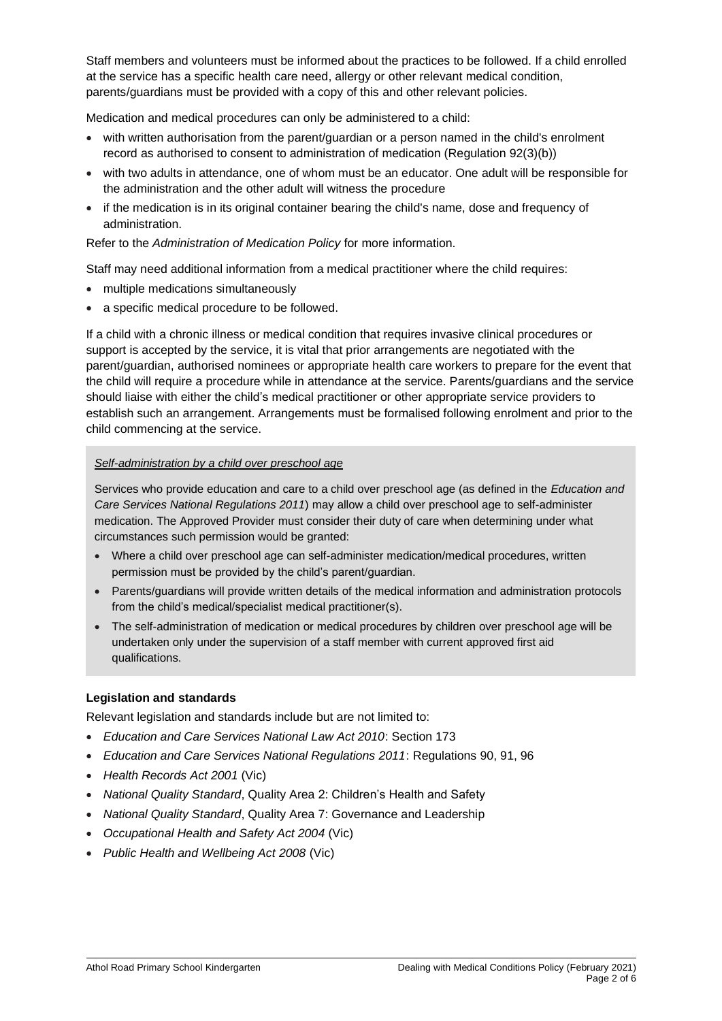Staff members and volunteers must be informed about the practices to be followed. If a child enrolled at the service has a specific health care need, allergy or other relevant medical condition, parents/guardians must be provided with a copy of this and other relevant policies.

Medication and medical procedures can only be administered to a child:

- with written authorisation from the parent/guardian or a person named in the child's enrolment record as authorised to consent to administration of medication (Regulation 92(3)(b))
- with two adults in attendance, one of whom must be an educator. One adult will be responsible for the administration and the other adult will witness the procedure
- if the medication is in its original container bearing the child's name, dose and frequency of administration.

Refer to the *Administration of Medication Policy* for more information.

Staff may need additional information from a medical practitioner where the child requires:

- multiple medications simultaneously
- a specific medical procedure to be followed.

If a child with a chronic illness or medical condition that requires invasive clinical procedures or support is accepted by the service, it is vital that prior arrangements are negotiated with the parent/guardian, authorised nominees or appropriate health care workers to prepare for the event that the child will require a procedure while in attendance at the service. Parents/guardians and the service should liaise with either the child's medical practitioner or other appropriate service providers to establish such an arrangement. Arrangements must be formalised following enrolment and prior to the child commencing at the service.

#### *Self-administration by a child over preschool age*

Services who provide education and care to a child over preschool age (as defined in the *Education and Care Services National Regulations 2011*) may allow a child over preschool age to self-administer medication. The Approved Provider must consider their duty of care when determining under what circumstances such permission would be granted:

- Where a child over preschool age can self-administer medication/medical procedures, written permission must be provided by the child's parent/guardian.
- Parents/guardians will provide written details of the medical information and administration protocols from the child's medical/specialist medical practitioner(s).
- The self-administration of medication or medical procedures by children over preschool age will be undertaken only under the supervision of a staff member with current approved first aid qualifications.

#### **Legislation and standards**

Relevant legislation and standards include but are not limited to:

- *Education and Care Services National Law Act 2010*: Section 173
- *Education and Care Services National Regulations 2011*: Regulations 90, 91, 96
- *Health Records Act 2001* (Vic)
- *National Quality Standard*, Quality Area 2: Children's Health and Safety
- *National Quality Standard*, Quality Area 7: Governance and Leadership
- *Occupational Health and Safety Act 2004* (Vic)
- *Public Health and Wellbeing Act 2008* (Vic)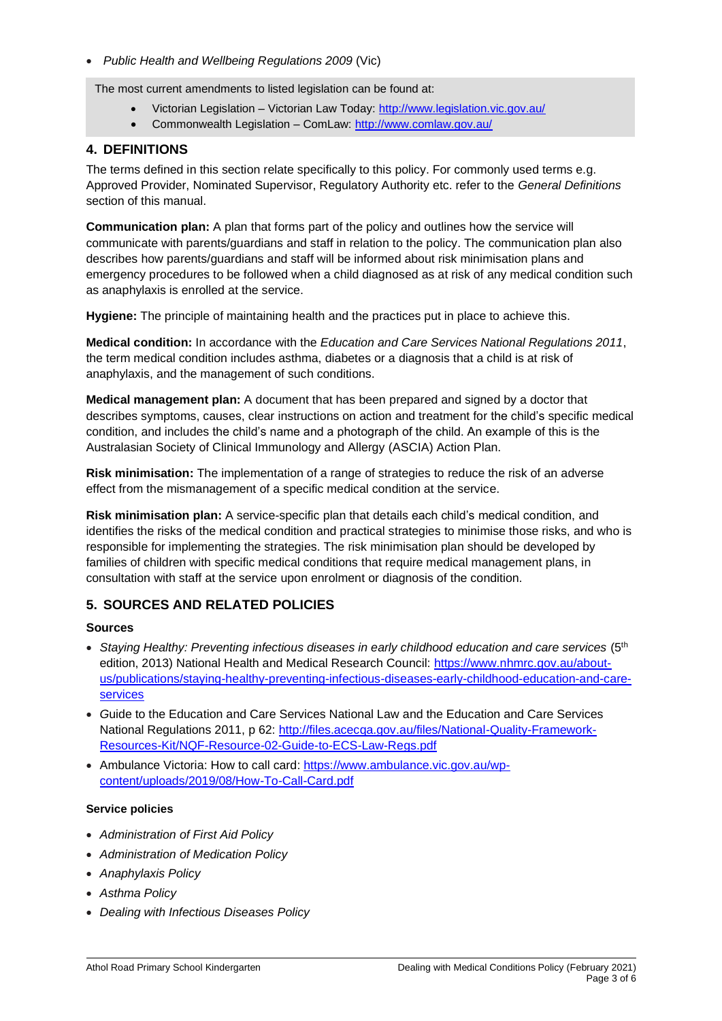• *Public Health and Wellbeing Regulations 2009* (Vic)

The most current amendments to listed legislation can be found at:

- Victorian Legislation Victorian Law Today:<http://www.legislation.vic.gov.au/>
- Commonwealth Legislation ComLaw:<http://www.comlaw.gov.au/>

## **4. DEFINITIONS**

The terms defined in this section relate specifically to this policy. For commonly used terms e.g. Approved Provider, Nominated Supervisor, Regulatory Authority etc. refer to the *General Definitions* section of this manual.

**Communication plan:** A plan that forms part of the policy and outlines how the service will communicate with parents/guardians and staff in relation to the policy. The communication plan also describes how parents/guardians and staff will be informed about risk minimisation plans and emergency procedures to be followed when a child diagnosed as at risk of any medical condition such as anaphylaxis is enrolled at the service.

**Hygiene:** The principle of maintaining health and the practices put in place to achieve this.

**Medical condition:** In accordance with the *Education and Care Services National Regulations 2011*, the term medical condition includes asthma, diabetes or a diagnosis that a child is at risk of anaphylaxis, and the management of such conditions.

**Medical management plan:** A document that has been prepared and signed by a doctor that describes symptoms, causes, clear instructions on action and treatment for the child's specific medical condition, and includes the child's name and a photograph of the child. An example of this is the Australasian Society of Clinical Immunology and Allergy (ASCIA) Action Plan.

**Risk minimisation:** The implementation of a range of strategies to reduce the risk of an adverse effect from the mismanagement of a specific medical condition at the service.

**Risk minimisation plan:** A service-specific plan that details each child's medical condition, and identifies the risks of the medical condition and practical strategies to minimise those risks, and who is responsible for implementing the strategies. The risk minimisation plan should be developed by families of children with specific medical conditions that require medical management plans, in consultation with staff at the service upon enrolment or diagnosis of the condition.

## **5. SOURCES AND RELATED POLICIES**

### **Sources**

- *Staying Healthy: Preventing infectious diseases in early childhood education and care services* (5th edition, 2013) National Health and Medical Research Council: [https://www.nhmrc.gov.au/about](https://www.nhmrc.gov.au/about-us/publications/staying-healthy-preventing-infectious-diseases-early-childhood-education-and-care-services)[us/publications/staying-healthy-preventing-infectious-diseases-early-childhood-education-and-care](https://www.nhmrc.gov.au/about-us/publications/staying-healthy-preventing-infectious-diseases-early-childhood-education-and-care-services)[services](https://www.nhmrc.gov.au/about-us/publications/staying-healthy-preventing-infectious-diseases-early-childhood-education-and-care-services)
- *G*uide to the Education and Care Services National Law and the Education and Care Services National Regulations 2011, p 62: [http://files.acecqa.gov.au/files/National-Quality-Framework-](http://files.acecqa.gov.au/files/National-Quality-Framework-Resources-Kit/NQF-Resource-02-Guide-to-ECS-Law-Regs.pdf)[Resources-Kit/NQF-Resource-02-Guide-to-ECS-Law-Regs.pdf](http://files.acecqa.gov.au/files/National-Quality-Framework-Resources-Kit/NQF-Resource-02-Guide-to-ECS-Law-Regs.pdf)
- Ambulance Victoria: How to call card: [https://www.ambulance.vic.gov.au/wp](https://www.ambulance.vic.gov.au/wp-content/uploads/2019/08/How-To-Call-Card.pdf)[content/uploads/2019/08/How-To-Call-Card.pdf](https://www.ambulance.vic.gov.au/wp-content/uploads/2019/08/How-To-Call-Card.pdf)

#### **Service policies**

- *Administration of First Aid Policy*
- *Administration of Medication Policy*
- *Anaphylaxis Policy*
- *Asthma Policy*
- *Dealing with Infectious Diseases Policy*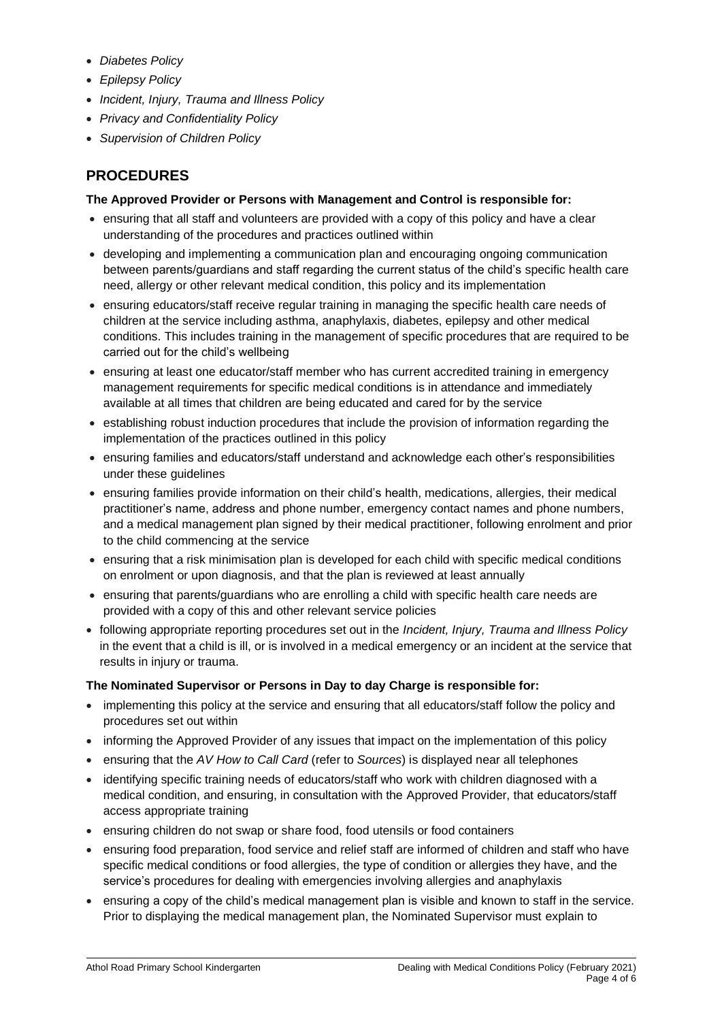- *Diabetes Policy*
- *Epilepsy Policy*
- *Incident, Injury, Trauma and Illness Policy*
- *Privacy and Confidentiality Policy*
- *Supervision of Children Policy*

# **PROCEDURES**

### **The Approved Provider or Persons with Management and Control is responsible for:**

- ensuring that all staff and volunteers are provided with a copy of this policy and have a clear understanding of the procedures and practices outlined within
- developing and implementing a communication plan and encouraging ongoing communication between parents/guardians and staff regarding the current status of the child's specific health care need, allergy or other relevant medical condition, this policy and its implementation
- ensuring educators/staff receive regular training in managing the specific health care needs of children at the service including asthma, anaphylaxis, diabetes, epilepsy and other medical conditions. This includes training in the management of specific procedures that are required to be carried out for the child's wellbeing
- ensuring at least one educator/staff member who has current accredited training in emergency management requirements for specific medical conditions is in attendance and immediately available at all times that children are being educated and cared for by the service
- establishing robust induction procedures that include the provision of information regarding the implementation of the practices outlined in this policy
- ensuring families and educators/staff understand and acknowledge each other's responsibilities under these guidelines
- ensuring families provide information on their child's health, medications, allergies, their medical practitioner's name, address and phone number, emergency contact names and phone numbers, and a medical management plan signed by their medical practitioner, following enrolment and prior to the child commencing at the service
- ensuring that a risk minimisation plan is developed for each child with specific medical conditions on enrolment or upon diagnosis, and that the plan is reviewed at least annually
- ensuring that parents/guardians who are enrolling a child with specific health care needs are provided with a copy of this and other relevant service policies
- following appropriate reporting procedures set out in the *Incident, Injury, Trauma and Illness Policy* in the event that a child is ill, or is involved in a medical emergency or an incident at the service that results in injury or trauma.

### **The Nominated Supervisor or Persons in Day to day Charge is responsible for:**

- implementing this policy at the service and ensuring that all educators/staff follow the policy and procedures set out within
- informing the Approved Provider of any issues that impact on the implementation of this policy
- ensuring that the *AV How to Call Card* (refer to *Sources*) is displayed near all telephones
- identifying specific training needs of educators/staff who work with children diagnosed with a medical condition, and ensuring, in consultation with the Approved Provider, that educators/staff access appropriate training
- ensuring children do not swap or share food, food utensils or food containers
- ensuring food preparation, food service and relief staff are informed of children and staff who have specific medical conditions or food allergies, the type of condition or allergies they have, and the service's procedures for dealing with emergencies involving allergies and anaphylaxis
- ensuring a copy of the child's medical management plan is visible and known to staff in the service. Prior to displaying the medical management plan, the Nominated Supervisor must explain to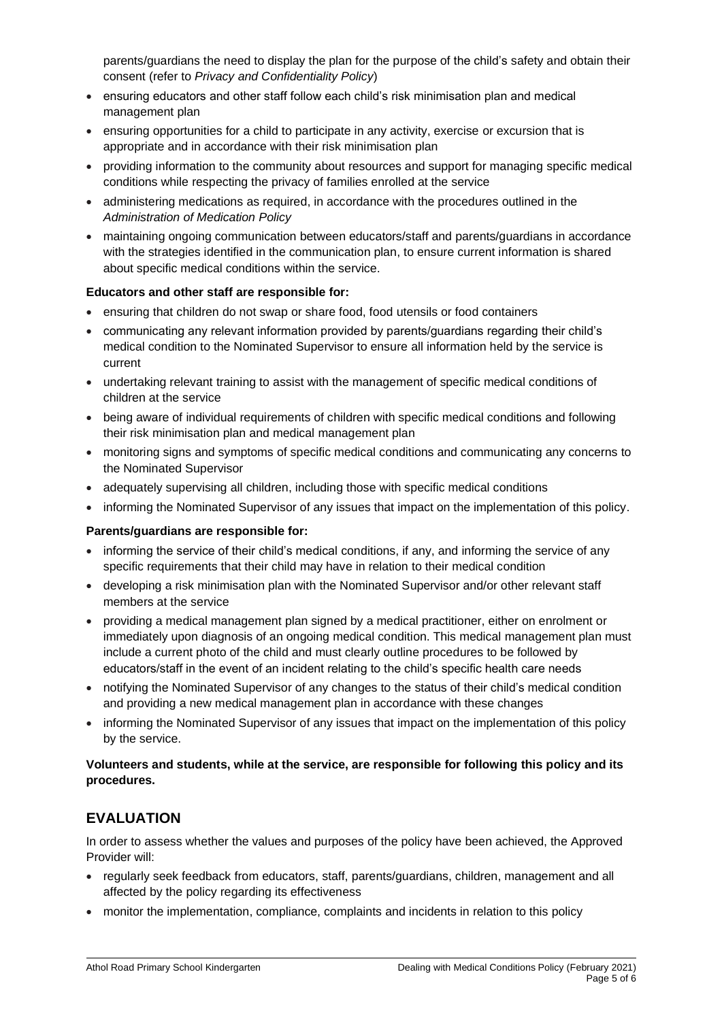parents/guardians the need to display the plan for the purpose of the child's safety and obtain their consent (refer to *Privacy and Confidentiality Policy*)

- ensuring educators and other staff follow each child's risk minimisation plan and medical management plan
- ensuring opportunities for a child to participate in any activity, exercise or excursion that is appropriate and in accordance with their risk minimisation plan
- providing information to the community about resources and support for managing specific medical conditions while respecting the privacy of families enrolled at the service
- administering medications as required, in accordance with the procedures outlined in the *Administration of Medication Policy*
- maintaining ongoing communication between educators/staff and parents/guardians in accordance with the strategies identified in the communication plan, to ensure current information is shared about specific medical conditions within the service.

#### **Educators and other staff are responsible for:**

- ensuring that children do not swap or share food, food utensils or food containers
- communicating any relevant information provided by parents/guardians regarding their child's medical condition to the Nominated Supervisor to ensure all information held by the service is current
- undertaking relevant training to assist with the management of specific medical conditions of children at the service
- being aware of individual requirements of children with specific medical conditions and following their risk minimisation plan and medical management plan
- monitoring signs and symptoms of specific medical conditions and communicating any concerns to the Nominated Supervisor
- adequately supervising all children, including those with specific medical conditions
- informing the Nominated Supervisor of any issues that impact on the implementation of this policy.

#### **Parents/guardians are responsible for:**

- informing the service of their child's medical conditions, if any, and informing the service of any specific requirements that their child may have in relation to their medical condition
- developing a risk minimisation plan with the Nominated Supervisor and/or other relevant staff members at the service
- providing a medical management plan signed by a medical practitioner, either on enrolment or immediately upon diagnosis of an ongoing medical condition. This medical management plan must include a current photo of the child and must clearly outline procedures to be followed by educators/staff in the event of an incident relating to the child's specific health care needs
- notifying the Nominated Supervisor of any changes to the status of their child's medical condition and providing a new medical management plan in accordance with these changes
- informing the Nominated Supervisor of any issues that impact on the implementation of this policy by the service.

#### **Volunteers and students, while at the service, are responsible for following this policy and its procedures.**

# **EVALUATION**

In order to assess whether the values and purposes of the policy have been achieved, the Approved Provider will:

- regularly seek feedback from educators, staff, parents/guardians, children, management and all affected by the policy regarding its effectiveness
- monitor the implementation, compliance, complaints and incidents in relation to this policy